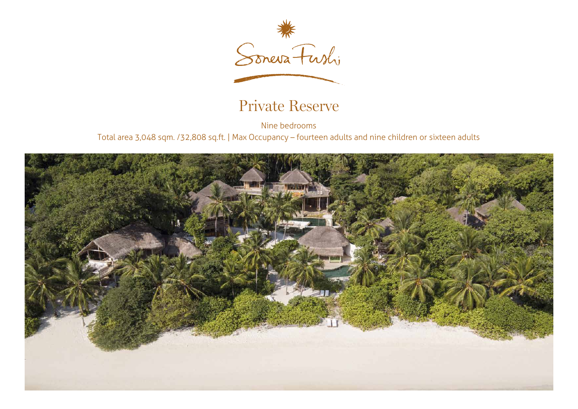

## Private Reserve

Nine bedrooms Total area 3,048 sqm. /32,808 sq.ft. | Max Occupancy – fourteen adults and nine children or sixteen adults

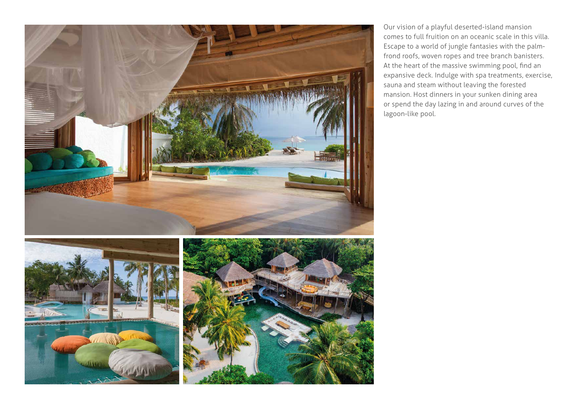

Our vision of a playful deserted-island mansion comes to full fruition on an oceanic scale in this villa. Escape to a world of jungle fantasies with the palmfrond roofs, woven ropes and tree branch banisters. expansive deck. Indulge with spa treatments, exercise, At the heart of the massive swimming pool, find an sauna and steam without leaving the forested mansion. Host dinners in your sunken dining area or spend the day lazing in and around curves of the lagoon-like pool.

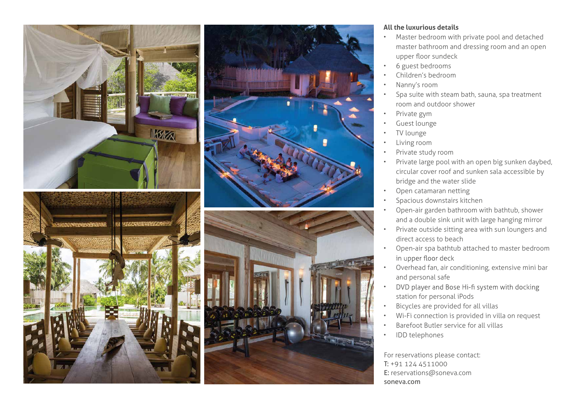

## **All the luxurious details**

- Master bedroom with private pool and detached master bathroom and dressing room and an open upper floor sundeck
- 6 guest bedrooms
- Children's bedroom
- Nanny's room
- Spa suite with steam bath, sauna, spa treatment room and outdoor shower
- Private gym
- Guest lounge
- TV lounge
- Living room
- Private study room
- Private large pool with an open big sunken daybed, circular cover roof and sunken sala accessible by bridge and the water slide
- Open catamaran netting
- Spacious downstairs kitchen
- Open-air garden bathroom with bathtub, shower and a double sink unit with large hanging mirror
- Private outside sitting area with sun loungers and direct access to beach
- Open-air spa bathtub attached to master bedroom in upper floor deck
- Overhead fan, air conditioning, extensive mini bar and personal safe
- DVD player and Bose Hi-fi system with docking • station for personal iPods
- Bicycles are provided for all villas
- Wi-Fi connection is provided in villa on request
- Barefoot Butler service for all villas
- IDD telephones

For reservations please contact: T: +91 124 4511000 E: reservations@soneva.com soneva.com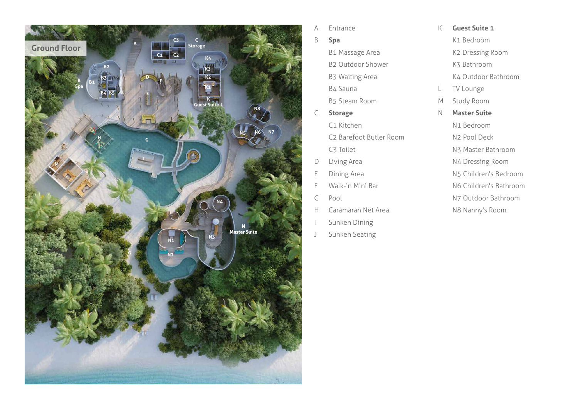

- A Ent ran c e
- B **Spa**
	- B1 Ma ssa ge A rea
	- B2 Outdoor Sh o wer
	- B3 Waiting A rea
	- B4 Sauna
	- B5 Steam Room
- C **Storage** 
	- C1 Kitchen
	- C2 Barefoot Butler Room
	- C3 Toilet
- D Living A rea
- E Dining A rea
- F Walk-in Mini Bar
- G Pool
- H C a rama ran Net A rea
- I Sun ken Dining
- J Sun ken Seating
- K **Guest Suite 1**
	- K1 Bed room
	- K2 D r e ssing Room
	- K3 Bath room
	- K4 Outdoor Bath room
- L TV Lounge
- M Study Room
- N **Master Suite**
	- N1 Bed room
	- N2 Pool Deck
	- N3 Master Bath room
	- N4 D r e ssing Room
	- N5 Child ren's Bed room
	- N6 Child ren's Bath room
	- N7 Outdoor Bath room
	- N8 Nanny's Room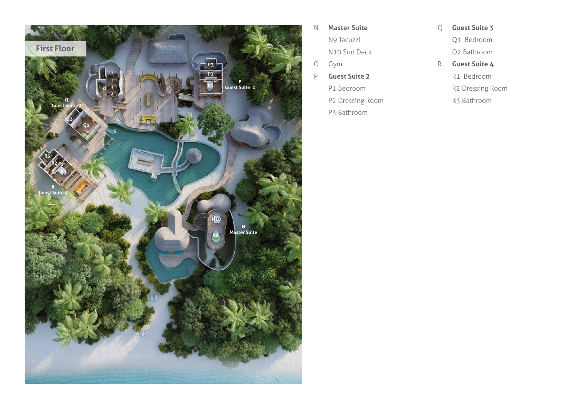

- N **Master Suite**
	- N9 Jacuzzi
	- N10 Sun Deck
- O Gym
- P **Guest Suite 2**
	- P1 Bed room P2 D r e ssing Room
	- P3 Bath room
- Q **Guest Suite 3**
	- Q1 Bed room
	- Q2 Bath room
- R **Guest Suite 4**
	- R1 Bed room
	- R2 D r e ssing Room
	- R3 Bath room